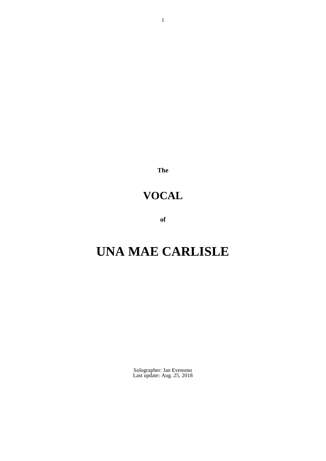**The**

# **VOCAL**

**of**

# **UNA MAE CARLISLE**

Solographer: Jan Evensmo Last update: Aug. 25, 2018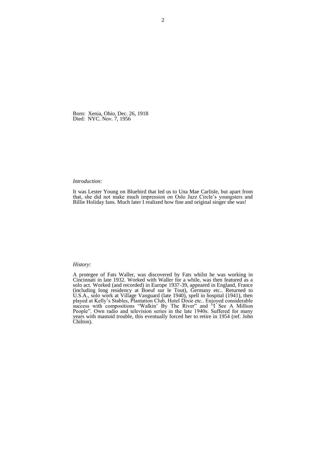Born: Xenia, Ohio, Dec. 26, 1918 Died: NYC. Nov. 7, 1956

### *Introduction:*

It was Lester Young on Bluebird that led us to Una Mae Carlisle, but apart from that, she did not make much impression on Oslo Jazz Circle's youngsters and Billie Holiday fans. Much later I realized how fine and original singer she was!

### *History:*

A protegee of Fats Waller, was discovered by Fats whilst he was working in Cincinnati in late 1932. Worked with Waller for a while, was then featured as a solo act. Worked (and recorded) in Europe 1937-39, appeared in England, France (including long residency at Boeuf sur le Tout), Germany etc.. Returned to U.S.A., solo work at Village Vanguard (late 1940), spell in hospital (1941), then played at Kelly's Stables, Plantation Club, Hotel Dixie etc.. Enjoyed considerable success with compositions "Walkin' By The River" and "I See A Million People". Own radio and television series in the late 1940s. Suffered for many years with mastoid trouble, this eventually forced her to retire in 1954 (ref. John Chilton).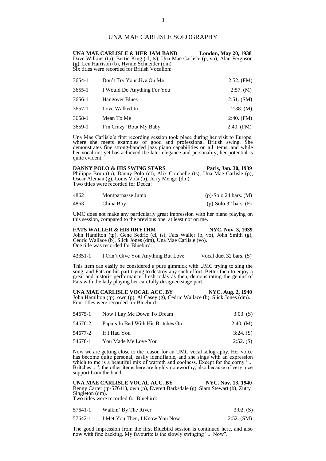# UNA MAE CARLISLE SOLOGRAPHY

**UNA MAE CARLISLE & HER JAM BAND London, May 20, 1938** Dave Wilkins (tp), Bertie King (cl, ts), Una Mae Carlisle (p, vo), Alan Ferguson (g), Len Harrison (b), Hymie Schneider (dm). Six titles were recorded for British Vocalion:

| 3654-1 | Don't Try Your Jive On Me   | $2:52.$ (FM) |
|--------|-----------------------------|--------------|
| 3655-1 | I Would Do Anything For You | 2:57. (M)    |
| 3656-1 | <b>Hangover Blues</b>       | 2:51. (SM)   |
| 3657-1 | Love Walked In              | 2:38. (M)    |
| 3658-1 | Mean To Me                  | $2:40.$ (FM) |
| 3659-1 | I'm Crazy 'Bout My Baby     | $2:40.$ (FM) |

Una Mae Carlisle's first recording session took place during her visit to Europe, where she meets examples of good and professional British swing. She demonstrates fine strong-handed jazz piano capabilities on all items, and while her vocal not yet has achieved the later elegance and personality, her potential is quite evident.

| DANNY POLO & HIS SWING STARS                                                   | Paris, Jan. 30, 1939 |
|--------------------------------------------------------------------------------|----------------------|
| Philippe Brun (tp), Danny Polo (cl), Alix Combelle (ts), Una Mae Carlisle (p), |                      |
| Oscar Aleman (g), Louis Vola (b), Jerry Mengo (dm).                            |                      |
| Two titles were recorded for Decca:                                            |                      |
|                                                                                |                      |

| 4862 | Montparnasse Jump | $(p)$ -Solo 24 bars. $(M)$ |
|------|-------------------|----------------------------|
| 4863 | China Boy         | $(p)$ -Solo 32 bars. $(F)$ |

UMC does not make any particularly great impression with her piano playing on this session, compared to the previous one, at least not on me.

### **FATS WALLER & HIS RHYTHM NYC. Nov. 3, 1939**

John Hamilton (tp), Gene Sedric (cl, ts), Fats Waller (p, vo), John Smith (g), Cedric Wallace (b), Slick Jones (dm), Una Mae Carlisle (vo). One title was recorded for Bluebird:

### 43351-1 I Can't Give You Anything But Love Vocal duet 32 bars. (S)

This item can easily be considered a pure gimmick with UMC trying to sing the song, and Fats on his part trying to destroy any such effort. Better then to enjoy a great and historic performance, fresh today as then, demonstrating the genius of Fats with the lady playing her carefully designed stage part.

UNA MAE CARLISLE VOCAL ACC. BY NYC. Aug. 2, 1940 John Hamilton (tp), own (p), Al Casey (g), Cedric Wallace (b), Slick Jones (dm). Four titles were recorded for Bluebird:

| 54675-1 | Now I Lay Me Down To Dream         | $3:03.$ (S) |
|---------|------------------------------------|-------------|
| 54676-2 | Papa's In Bed With His Britches On | 2:40. (M)   |
|         | 54677-2 If I Had You               | $3:24.$ (S) |
| 54678-1 | You Made Me Love You               | $2:52.$ (S) |

Now we are getting close to the reason for an UMC vocal solography. Her voice has become quite personal, easily identifiable, and she sings with an expression which to me is a beautiful mix of warmth and coolness. Except for the corny "... Britches ...", the other items here are highly noteworthy, also because of very nice support from the band.

UNA MAE CARLISLE VOCAL ACC. BY NYC. Nov. 13, 1940 Benny Carter (tp-57641), own (p), Everett Barksdale (g), Slam Stewart (b), Zutty Singleton (dm). Two titles were recorded for Bluebird:

57641-1 Walkin' By The River 3:02. (S) 57642-1 I Met You Then, I Know You Now 2:52. (SM)

The good impression from the first Bluebird session is continued here, and also now with fine backing. My favourite is the slowly swinging "... Now".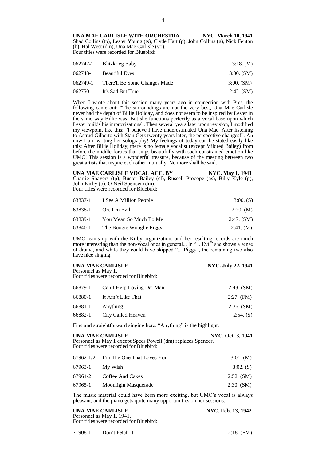UNA MAE CARLISLE WITH ORCHESTRA NYC. March 10, 1941 Shad Collins (tp), Lester Young (ts), Clyde Hart (p), John Collins (g), Nick Fenton (b), Hal West (dm), Una Mae Carlisle (vo). Four titles were recorded for Bluebird:

| 062747-1 Blitzkrieg Baby               | 3:18. (M)    |
|----------------------------------------|--------------|
| 062748-1 Beautiful Eyes                | $3:00.$ (SM) |
| 062749-1 There'll Be Some Changes Made | $3:00.$ (SM) |
| 062750-1 It's Sad But True             | 2:42. (SM)   |

When I wrote about this session many years ago in connection with Pres, the following came out: "The surroundings are not the very best, Una Mae Carlisle never had the depth of Billie Holiday, and does not seem to be inspired by Lester in the same way Billie was. But she functions perfectly as a vocal base upon which Lester builds his improvisations". Then several years later upon revision, I modified my viewpoint like this: "I believe I have underestimated Una Mae. After listening to Astrud Gilberto with Stan Getz twenty years later, the perspective changes!". An now I am writing her solography! My feelings of today can be stated easily like this: After Billie Holiday, there is no female vocalist (except Mildred Bailey) from before the middle forties that sings beautifully with such constrained emotion like UMC! This session is a wonderful treasure, because of the meeting between two great artists that inspire each other mutually. No more shall be said.

**UNA MAE CARLISLE VOCAL ACC. BY NYC. May 1, 1941** Charlie Shavers (tp), Buster Bailey (cl), Russell Procope (as), Billy Kyle (p), John Kirby (b), O'Neil Spencer (dm). Four titles were recorded for Bluebird:

|         | 63837-1 I See A Million People | $3:00.$ (S)  |
|---------|--------------------------------|--------------|
| 63838-1 | Oh. I'm Evil                   | 2:20. (M)    |
| 63839-1 | You Mean So Much To Me         | $2:47.$ (SM) |
| 63840-1 | The Boogie Wooglie Piggy       | 2:41. (M)    |

UMC teams up with the Kirby organization, and her resulting records are much more interesting than the non-vocal ones in general... In "... Evil" she shows a sense of drama, and while they could have skipped "... Piggy", the remaining two also have nice singing.

| UNA MAE CARLISLE<br>Personnel as May 1.<br>Four titles were recorded for Bluebird: |                           | <b>NYC. July 22, 1941</b> |
|------------------------------------------------------------------------------------|---------------------------|---------------------------|
| 66879-1                                                                            | Can't Help Loving Dat Man | 2:43. (SM)                |
| 66880-1                                                                            | It Ain't Like That        | $2:27.$ (FM)              |
| 66881-1                                                                            | Anything                  | 2:36. (SM)                |
| 66882-1                                                                            | City Called Heaven        | $2:54.$ (S)               |

Fine and straightforward singing here, "Anything" is the highlight.

| UNA MAE CARLISLE                                              | <b>NYC. Oct. 3, 1941</b> |
|---------------------------------------------------------------|--------------------------|
| Personnel as May 1 except Specs Powell (dm) replaces Spencer. |                          |
| Four titles were recorded for Bluebird:                       |                          |
|                                                               |                          |

|                 | 67962-1/2 I'm The One That Loves You | 3:01. (M)   |
|-----------------|--------------------------------------|-------------|
| 67963-1 My Wish |                                      | $3:02.$ (S) |
|                 | 67964-2 Coffee And Cakes             | 2:52. (SM)  |
| 67965-1         | Moonlight Masquerade                 | 2:30. (SM)  |

The music material could have been more exciting, but UMC's vocal is always pleasant, and the piano gets quite many opportunities on her sessions.

| UNA MAE CARLISLE                        | NYC. Feb. 13, 1942 |
|-----------------------------------------|--------------------|
| Personnel as May 1, 1941.               |                    |
| Four titles were recorded for Bluebird: |                    |

71908-1 Don't Fetch It 2:18. (FM)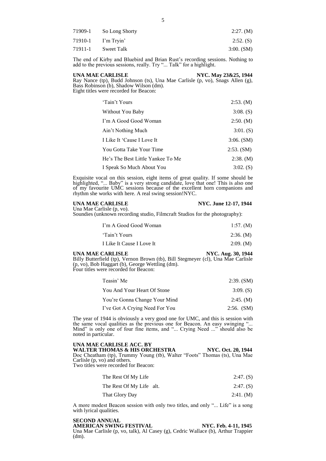| 71909-1 | So Long Shorty | 2:27. (M)    |
|---------|----------------|--------------|
| 71910-1 | I'm Tryin'     | $2:52.$ (S)  |
| 71911-1 | Sweet Talk     | $3:00.$ (SM) |

The end of Kirby and Bluebird and Brian Rust's recording sessions. Nothing to add to the previous sessions, really. Try "... Talk" for a highlight.

**UNA MAE CARLISLE** NYC. May 23&25, 1944 Ray Nance (tp), Budd Johnson (ts), Una Mae Carlisle (p, vo), Snags Allen (g), Bass Robinson (b), Shadow Wilson (dm). Eight titles were recorded for Beacon:

| 'Tain't Yours                     | 2:53. (M)    |
|-----------------------------------|--------------|
| Without You Baby                  | $3:08.$ (S)  |
| I'm A Good Good Woman             | 2:50. (M)    |
| Ain't Nothing Much                | 3:01. (S)    |
| I Like It 'Cause I Love It        | $3:06.$ (SM) |
| You Gotta Take Your Time          | 2:53. (SM)   |
| He's The Best Little Yankee To Me | 2:38. (M)    |
| I Speak So Much About You         | $3:02.$ (S)  |

Exquisite vocal on this session, eight items of great quality. If some should be highlighted, "... Baby" is a very strong candidate, love that one! This is also one of my favourite UMC sessions because of the excellent horn companions and rhythm she works with here. A real swing session!NYC.

### **UNA MAE CARLISLE** NYC. June 12-17, 1944 Una Mae Carlisle (p, vo).

Soundies (unknown recording studio, Filmcraft Studios for the photography):

| I'm A Good Good Woman     | 1:57. (M) |
|---------------------------|-----------|
| 'Tain't Yours             | 2:36. (M) |
| I Like It Cause I Love It | 2:09. (M) |

### **UNA MAE CARLISLE** NYC. Aug. 30, 1944

Billy Butterfield (tp), Vernon Brown (tb), Bill Stegmeyer (cl), Una Mae Carlisle (p, vo), Bob Haggart (b), George Wettling (dm). Four titles were recorded for Beacon:

| Teasin' Me                     | 2:39. (SM)   |
|--------------------------------|--------------|
| You And Your Heart Of Stone    | $3:09.$ (S)  |
| You're Gonna Change Your Mind  | 2:45. (M)    |
| I've Got A Crying Need For You | $2:56.$ (SM) |

The year of 1944 is obviously a very good one for UMC, and this is session with the same vocal qualities as the previous one for Beacon. An easy swinging "... Mind" is only one of four fine items, and "... Crying Need ..." should also be noted in particular.

# **UNA MAE CARLISLE ACC. BY**

WALTER THOMAS & HIS ORCHESTRA NYC. Oct. 20, 1944 Doc Cheatham (tp), Trummy Young (tb), Walter "Foots" Thomas (ts), Una Mae Carlisle (p, vo) and others.

Two titles were recorded for Beacon:

| The Rest Of My Life | $2:47.$ (S) |
|---------------------|-------------|
|---------------------|-------------|

| The Rest Of My Life alt. |  | $2:47.$ (S) |  |  |
|--------------------------|--|-------------|--|--|
|--------------------------|--|-------------|--|--|

| That Glory Day | 2:41. (M) |  |
|----------------|-----------|--|
|                |           |  |

A more modest Beacon session with only two titles, and only "... Life" is a song with lyrical qualities.

### **SECOND ANNUAL**

**AMERICAN SWING FESTIVAL NYC. Feb. 4-11, 1945** Una Mae Carlisle (p, vo, talk), Al Casey (g), Cedric Wallace (b), Arthur Trappier (dm).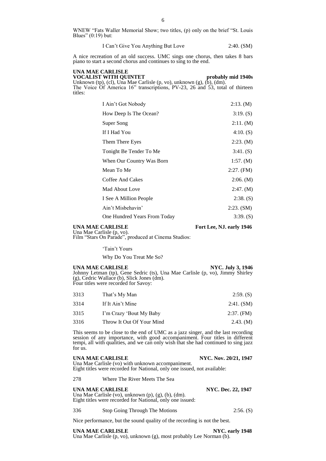WNEW "Fats Waller Memorial Show; two titles, (p) only on the brief "St. Louis Blues" (0:19) but:

I Can't Give You Anything But Love 2:40. (SM)

A nice recreation of an old success. UMC sings one chorus, then takes 8 bars piano to start a second chorus and continues to sing to the end.

**UNA MAE CARLISLE VOCALIST WITH QUINTET** probably mid 1940s Unknown (tp), (cl), Una Mae Carlisle (p, vo), unknown  $(g)$ ,  $(b)$ ,  $(dm)$ . The Voice Of America 16" transcriptions, PV-23, 26 and 53, total of thirteen titles:

| I Ain't Got Nobody           | 2:13. (M)   |
|------------------------------|-------------|
| How Deep Is The Ocean?       | 3:19. (S)   |
| Super Song                   | 2:11. (M)   |
| If I Had You                 | 4:10. (S)   |
| Them There Eyes              | 2:23. (M)   |
| Tonight Be Tender To Me      | 3:41. (S)   |
| When Our Country Was Born    | 1:57. $(M)$ |
| Mean To Me                   | 2:27. (FM)  |
| Coffee And Cakes             | 2:06. (M)   |
| Mad About Love               | 2:47. (M)   |
| I See A Million People       | $2:38.$ (S) |
| Ain't Misbehavin'            | 2:23. (SM)  |
| One Hundred Years From Today | 3:39. (S)   |
|                              |             |

Una Mae Carlisle (p, vo).

### **UNA MAE CARLISLE** Fort Lee, NJ. early 1946

Film "Stars On Parade", produced at Cinema Studios:

'Tain't Yours

Why Do You Treat Me So?

## **UNA MAE CARLISLE** NYC. July 3, 1946

Johnny Letman (tp), Gene Sedric (ts), Una Mae Carlisle (p, vo), Jimmy Shirley (g), Cedric Wallace (b), Slick Jones (dm). Four titles were recorded for Savoy:

| 3313 | That's My Man             | $2:59.$ (S)  |
|------|---------------------------|--------------|
| 3314 | If It Ain't Mine          | 2:41. (SM)   |
| 3315 | I'm Crazy 'Bout My Baby   | $2:37.$ (FM) |
| 3316 | Throw It Out Of Your Mind | 2.43. (M)    |
|      |                           |              |

This seems to be close to the end of UMC as a jazz singer, and the last recording session of any importance, with good accompaniment. Four titles in different tempi, all with qualities, and we can only wish that she had continued to sing jazz for us.

**UNA MAE CARLISLE** NYC. Nov. 20/21, 1947

Una Mae Carlisle (vo) with unknown accompaniment. Eight titles were recorded for National, only one issued, not available:

278 Where The River Meets The Sea

### **UNA MAE CARLISLE NYC. Dec. 22, 1947**

Una Mae Carlisle (vo), unknown (p), (g), (b), (dm). Eight titles were recorded for National, only one issued:

336 Stop Going Through The Motions 2:56. (S)

Nice performance, but the sound quality of the recording is not the best.

**UNA MAE CARLISLE** NYC. early 1948 Una Mae Carlisle (p, vo), unknown (g), most probably Lee Norman (b).